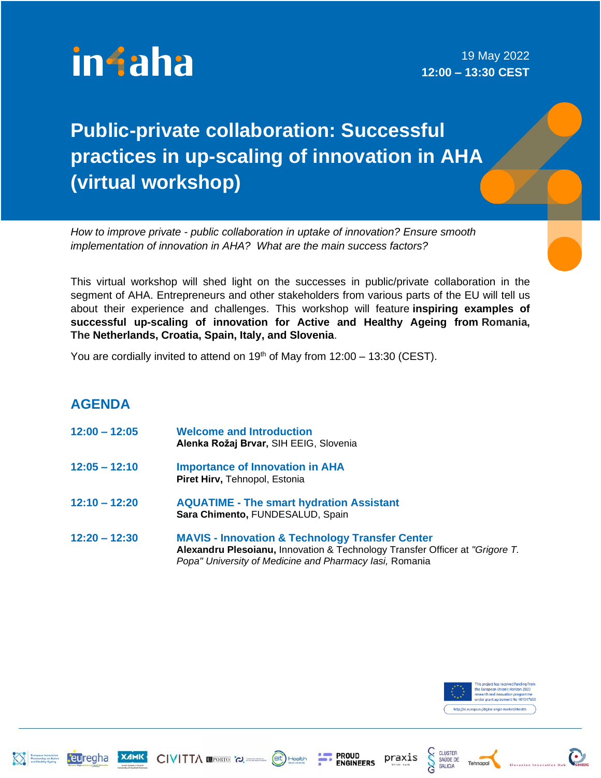

19 May 2022 **12:00 – 13:30 CEST**

## **Public-private collaboration: Successful practices in up-scaling of innovation in AHA (virtual workshop)**

*How to improve private - public collaboration in uptake of innovation? Ensure smooth implementation of innovation in AHA? What are the main success factors?*

This virtual workshop will shed light on the successes in public/private collaboration in the segment of AHA. Entrepreneurs and other stakeholders from various parts of the EU will tell us about their experience and challenges. This workshop will feature **inspiring examples of successful up-scaling of innovation for Active and Healthy Ageing from Romania, The Netherlands, Croatia, Spain, Italy, and Slovenia**.

You are cordially invited to attend on  $19<sup>th</sup>$  of May from  $12:00 - 13:30$  (CEST).

## **AGENDA**

- **12:00 – 12:05 Welcome and Introduction Alenka Rožaj Brvar,** SIH EEIG, Slovenia
- **12:05 – 12:10 Importance of Innovation in AHA Piret Hirv,** Tehnopol, Estonia

CIVITTA WPORTO 'O.

- **12:10 – 12:20 AQUATIME - The smart hydration Assistant Sara Chimento,** FUNDESALUD, Spain
- **12:20 – 12:30 MAVIS - Innovation & Technology Transfer Center Alexandru Plesoianu,** Innovation & Technology Transfer Officer at *"Grigore T. Popa" University of Medicine and Pharmacy Iasi,* Romania

(eit) Health

**PROUD** 

**ENGINEERS** 



**CLUSTER** 

SAÚDE DE<br>GALICIA

praxis





teuregha

**XAMK**